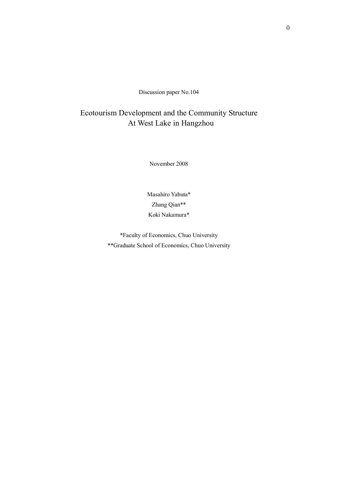Discussion paper No.104

# Ecotourism Development and the Community Structure At West Lake in Hangzhou

November 2008

Masahiro Yabuta\* Zhang Qian\*\* Koki Nakamura\*

\*Faculty of Economics, Chuo University \*\*Graduate School of Economics, Chuo University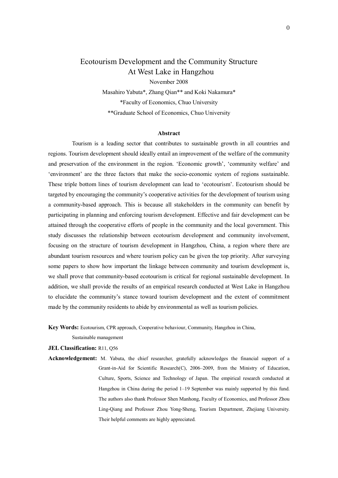## Ecotourism Development and the Community Structure At West Lake in Hangzhou

November 2008 Masahiro Yabuta\*, Zhang Qian\*\* and Koki Nakamura\* \*Faculty of Economics, Chuo University \*\*Graduate School of Economics, Chuo University

#### **Abstract**

 Tourism is a leading sector that contributes to sustainable growth in all countries and regions. Tourism development should ideally entail an improvement of the welfare of the community and preservation of the environment in the region. 'Economic growth', 'community welfare' and 'environment' are the three factors that make the socio-economic system of regions sustainable. These triple bottom lines of tourism development can lead to 'ecotourism'. Ecotourism should be targeted by encouraging the community's cooperative activities for the development of tourism using a community-based approach. This is because all stakeholders in the community can benefit by participating in planning and enforcing tourism development. Effective and fair development can be attained through the cooperative efforts of people in the community and the local government. This study discusses the relationship between ecotourism development and community involvement, focusing on the structure of tourism development in Hangzhou, China, a region where there are abundant tourism resources and where tourism policy can be given the top priority. After surveying some papers to show how important the linkage between community and tourism development is, we shall prove that community-based ecotourism is critical for regional sustainable development. In addition, we shall provide the results of an empirical research conducted at West Lake in Hangzhou to elucidate the community's stance toward tourism development and the extent of commitment made by the community residents to abide by environmental as well as tourism policies.

**Key Words:** Ecotourism, CPR approach, Cooperative behaviour, Community, Hangzhou in China,

Sustainable management

**JEL Classification:** R11, Q56

**Acknowledgement:** M. Yabuta, the chief researcher, gratefully acknowledges the financial support of a Grant-in-Aid for Scientific Research(C), 2006–2009, from the Ministry of Education, Culture, Sports, Science and Technology of Japan. The empirical research conducted at Hangzhou in China during the period 1–19 September was mainly supported by this fund. The authors also thank Professor Shen Manhong, Faculty of Economics, and Professor Zhou Ling-Qiang and Professor Zhou Yong-Sheng, Tourism Department, Zhejiang University. Their helpful comments are highly appreciated.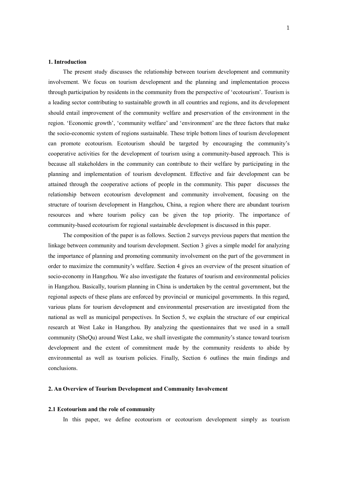#### **1. Introduction**

The present study discusses the relationship between tourism development and community involvement. We focus on tourism development and the planning and implementation process through participation by residents in the community from the perspective of 'ecotourism'. Tourism is a leading sector contributing to sustainable growth in all countries and regions, and its development should entail improvement of the community welfare and preservation of the environment in the region. 'Economic growth', 'community welfare' and 'environment' are the three factors that make the socio-economic system of regions sustainable. These triple bottom lines of tourism development can promote ecotourism. Ecotourism should be targeted by encouraging the community's cooperative activities for the development of tourism using a community-based approach. This is because all stakeholders in the community can contribute to their welfare by participating in the planning and implementation of tourism development. Effective and fair development can be attained through the cooperative actions of people in the community. This paper discusses the relationship between ecotourism development and community involvement, focusing on the structure of tourism development in Hangzhou, China, a region where there are abundant tourism resources and where tourism policy can be given the top priority. The importance of community-based ecotourism for regional sustainable development is discussed in this paper.

The composition of the paper is as follows. Section 2 surveys previous papers that mention the linkage between community and tourism development. Section 3 gives a simple model for analyzing the importance of planning and promoting community involvement on the part of the government in order to maximize the community's welfare. Section 4 gives an overview of the present situation of socio-economy in Hangzhou. We also investigate the features of tourism and environmental policies in Hangzhou. Basically, tourism planning in China is undertaken by the central government, but the regional aspects of these plans are enforced by provincial or municipal governments. In this regard, various plans for tourism development and environmental preservation are investigated from the national as well as municipal perspectives. In Section 5, we explain the structure of our empirical research at West Lake in Hangzhou. By analyzing the questionnaires that we used in a small community (SheQu) around West Lake, we shall investigate the community's stance toward tourism development and the extent of commitment made by the community residents to abide by environmental as well as tourism policies. Finally, Section 6 outlines the main findings and conclusions.

#### **2. An Overview of Tourism Development and Community Involvement**

#### **2.1 Ecotourism and the role of community**

In this paper, we define ecotourism or ecotourism development simply as tourism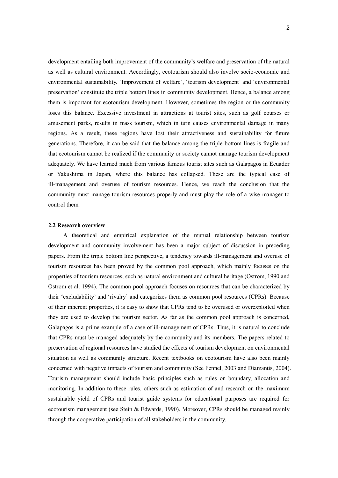development entailing both improvement of the community's welfare and preservation of the natural as well as cultural environment. Accordingly, ecotourism should also involve socio-economic and environmental sustainability. 'Improvement of welfare', 'tourism development' and 'environmental preservation' constitute the triple bottom lines in community development. Hence, a balance among them is important for ecotourism development. However, sometimes the region or the community loses this balance. Excessive investment in attractions at tourist sites, such as golf courses or amusement parks, results in mass tourism, which in turn causes environmental damage in many regions. As a result, these regions have lost their attractiveness and sustainability for future generations. Therefore, it can be said that the balance among the triple bottom lines is fragile and that ecotourism cannot be realized if the community or society cannot manage tourism development adequately. We have learned much from various famous tourist sites such as Galapagos in Ecuador or Yakushima in Japan, where this balance has collapsed. These are the typical case of ill-management and overuse of tourism resources. Hence, we reach the conclusion that the community must manage tourism resources properly and must play the role of a wise manager to control them.

#### **2.2 Research overview**

 A theoretical and empirical explanation of the mutual relationship between tourism development and community involvement has been a major subject of discussion in preceding papers. From the triple bottom line perspective, a tendency towards ill-management and overuse of tourism resources has been proved by the common pool approach, which mainly focuses on the properties of tourism resources, such as natural environment and cultural heritage (Ostrom, 1990 and Ostrom et al. 1994). The common pool approach focuses on resources that can be characterized by their 'excludability' and 'rivalry' and categorizes them as common pool resources (CPRs). Because of their inherent properties, it is easy to show that CPRs tend to be overused or overexploited when they are used to develop the tourism sector. As far as the common pool approach is concerned, Galapagos is a prime example of a case of ill-management of CPRs. Thus, it is natural to conclude that CPRs must be managed adequately by the community and its members. The papers related to preservation of regional resources have studied the effects of tourism development on environmental situation as well as community structure. Recent textbooks on ecotourism have also been mainly concerned with negative impacts of tourism and community (See Fennel, 2003 and Diamantis, 2004). Tourism management should include basic principles such as rules on boundary, allocation and monitoring. In addition to these rules, others such as estimation of and research on the maximum sustainable yield of CPRs and tourist guide systems for educational purposes are required for ecotourism management (see Stein & Edwards, 1990). Moreover, CPRs should be managed mainly through the cooperative participation of all stakeholders in the community.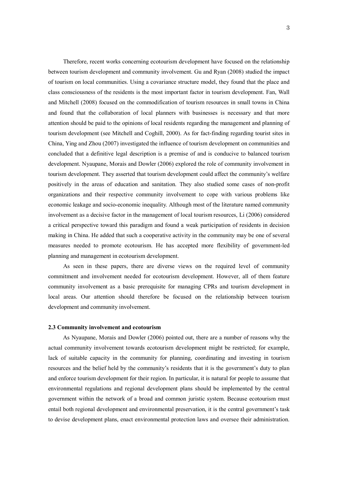Therefore, recent works concerning ecotourism development have focused on the relationship between tourism development and community involvement. Gu and Ryan (2008) studied the impact of tourism on local communities. Using a covariance structure model, they found that the place and class consciousness of the residents is the most important factor in tourism development. Fan, Wall and Mitchell (2008) focused on the commodification of tourism resources in small towns in China and found that the collaboration of local planners with businesses is necessary and that more attention should be paid to the opinions of local residents regarding the management and planning of tourism development (see Mitchell and Coghill, 2000). As for fact-finding regarding tourist sites in China, Ying and Zhou (2007) investigated the influence of tourism development on communities and concluded that a definitive legal description is a premise of and is conducive to balanced tourism development. Nyaupane, Morais and Dowler (2006) explored the role of community involvement in tourism development. They asserted that tourism development could affect the community's welfare positively in the areas of education and sanitation. They also studied some cases of non-profit organizations and their respective community involvement to cope with various problems like economic leakage and socio-economic inequality. Although most of the literature named community involvement as a decisive factor in the management of local tourism resources, Li (2006) considered a critical perspective toward this paradigm and found a weak participation of residents in decision making in China. He added that such a cooperative activity in the community may be one of several measures needed to promote ecotourism. He has accepted more flexibility of government-led planning and management in ecotourism development.

 As seen in these papers, there are diverse views on the required level of community commitment and involvement needed for ecotourism development. However, all of them feature community involvement as a basic prerequisite for managing CPRs and tourism development in local areas. Our attention should therefore be focused on the relationship between tourism development and community involvement.

#### **2.3 Community involvement and ecotourism**

As Nyaupane, Morais and Dowler (2006) pointed out, there are a number of reasons why the actual community involvement towards ecotourism development might be restricted; for example, lack of suitable capacity in the community for planning, coordinating and investing in tourism resources and the belief held by the community's residents that it is the government's duty to plan and enforce tourism development for their region. In particular, it is natural for people to assume that environmental regulations and regional development plans should be implemented by the central government within the network of a broad and common juristic system. Because ecotourism must entail both regional development and environmental preservation, it is the central government's task to devise development plans, enact environmental protection laws and oversee their administration.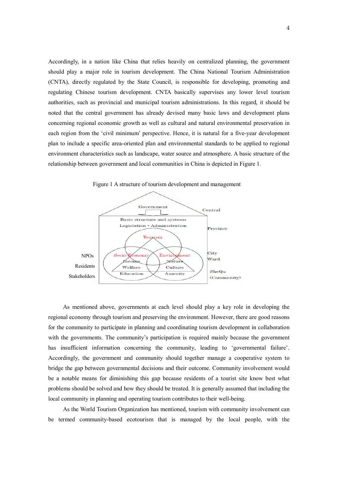Accordingly, in a nation like China that relies heavily on centralized planning, the government should play a major role in tourism development. The China National Tourism Administration (CNTA), directly regulated by the State Council, is responsible for developing, promoting and regulating Chinese tourism development. CNTA basically supervises any lower level tourism authorities, such as provincial and municipal tourism administrations. In this regard, it should be noted that the central government has already devised many basic laws and development plans concerning regional economic growth as well as cultural and natural environmental preservation in each region from the 'civil minimum' perspective. Hence, it is natural for a five-year development plan to include a specific area-oriented plan and environmental standards to be applied to regional environment characteristics such as landscape, water source and atmosphere. A basic structure of the relationship between government and local communities in China is depicted in Figure 1.



Figure 1 A structure of tourism development and management

As mentioned above, governments at each level should play a key role in developing the regional economy through tourism and preserving the environment. However, there are good reasons for the community to participate in planning and coordinating tourism development in collaboration with the governments. The community's participation is required mainly because the government has insufficient information concerning the community, leading to 'governmental failure'. Accordingly, the government and community should together manage a cooperative system to bridge the gap between governmental decisions and their outcome. Community involvement would be a notable means for diminishing this gap because residents of a tourist site know best what problems should be solved and how they should be treated. It is generally assumed that including the local community in planning and operating tourism contributes to their well-being.

As the World Tourism Organization has mentioned, tourism with community involvement can be termed community-based ecotourism that is managed by the local people, with the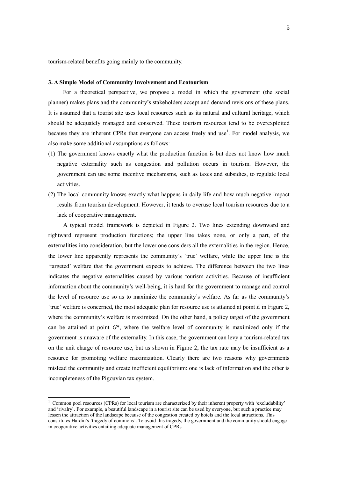tourism-related benefits going mainly to the community.

#### **3. A Simple Model of Community Involvement and Ecotourism**

For a theoretical perspective, we propose a model in which the government (the social planner) makes plans and the community's stakeholders accept and demand revisions of these plans. It is assumed that a tourist site uses local resources such as its natural and cultural heritage, which should be adequately managed and conserved. These tourism resources tend to be overexploited because they are inherent CPRs that everyone can access freely and use<sup>1</sup>. For model analysis, we also make some additional assumptions as follows:

- (1) The government knows exactly what the production function is but does not know how much negative externality such as congestion and pollution occurs in tourism. However, the government can use some incentive mechanisms, such as taxes and subsidies, to regulate local activities.
- (2) The local community knows exactly what happens in daily life and how much negative impact results from tourism development. However, it tends to overuse local tourism resources due to a lack of cooperative management.

 A typical model framework is depicted in Figure 2. Two lines extending downward and rightward represent production functions; the upper line takes none, or only a part, of the externalities into consideration, but the lower one considers all the externalities in the region. Hence, the lower line apparently represents the community's 'true' welfare, while the upper line is the 'targeted' welfare that the government expects to achieve. The difference between the two lines indicates the negative externalities caused by various tourism activities. Because of insufficient information about the community's well-being, it is hard for the government to manage and control the level of resource use so as to maximize the community's welfare. As far as the community's 'true' welfare is concerned, the most adequate plan for resource use is attained at point *E* in Figure 2, where the community's welfare is maximized. On the other hand, a policy target of the government can be attained at point *G*\*, where the welfare level of community is maximized only if the government is unaware of the externality. In this case, the government can levy a tourism-related tax on the unit charge of resource use, but as shown in Figure 2, the tax rate may be insufficient as a resource for promoting welfare maximization. Clearly there are two reasons why governments mislead the community and create inefficient equilibrium: one is lack of information and the other is incompleteness of the Pigouvian tax system.

 1 Common pool resources (CPRs) for local tourism are characterized by their inherent property with 'excludability' and 'rivalry'. For example, a beautiful landscape in a tourist site can be used by everyone, but such a practice may lessen the attraction of the landscape because of the congestion created by hotels and the local attractions. This constitutes Hardin's 'tragedy of commons'. To avoid this tragedy, the government and the community should engage in cooperative activities entailing adequate management of CPRs.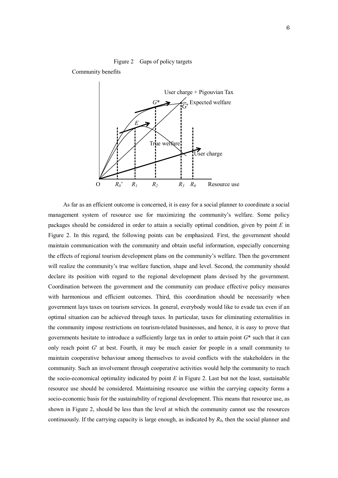Community benefits



 As far as an efficient outcome is concerned, it is easy for a social planner to coordinate a social management system of resource use for maximizing the community's welfare. Some policy packages should be considered in order to attain a socially optimal condition, given by point *E* in Figure 2. In this regard, the following points can be emphasized. First, the government should maintain communication with the community and obtain useful information, especially concerning the effects of regional tourism development plans on the community's welfare. Then the government will realize the community's true welfare function, shape and level. Second, the community should declare its position with regard to the regional development plans devised by the government. Coordination between the government and the community can produce effective policy measures with harmonious and efficient outcomes. Third, this coordination should be necessarily when government lays taxes on tourism services. In general, everybody would like to evade tax even if an optimal situation can be achieved through taxes. In particular, taxes for eliminating externalities in the community impose restrictions on tourism-related businesses, and hence, it is easy to prove that governments hesitate to introduce a sufficiently large tax in order to attain point *G*\* such that it can only reach point *G*' at best. Fourth, it may be much easier for people in a small community to maintain cooperative behaviour among themselves to avoid conflicts with the stakeholders in the community. Such an involvement through cooperative activities would help the community to reach the socio-economical optimality indicated by point *E* in Figure 2. Last but not the least, sustainable resource use should be considered. Maintaining resource use within the carrying capacity forms a socio-economic basis for the sustainability of regional development. This means that resource use, as shown in Figure 2, should be less than the level at which the community cannot use the resources continuously. If the carrying capacity is large enough, as indicated by *R*0, then the social planner and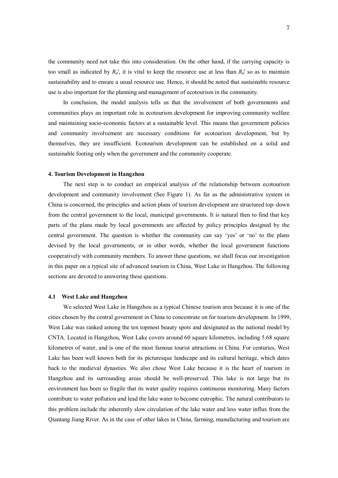the community need not take this into consideration. On the other hand, if the carrying capacity is too small as indicated by  $R_0'$ , it is vital to keep the resource use at less than  $R_0'$  so as to maintain sustainability and to ensure a usual resource use. Hence, it should be noted that sustainable resource use is also important for the planning and management of ecotourism in the community.

 In conclusion, the model analysis tells us that the involvement of both governments and communities plays an important role in ecotourism development for improving community welfare and maintaining socio-economic factors at a sustainable level. This means that government policies and community involvement are necessary conditions for ecotourism development, but by themselves, they are insufficient. Ecotourism development can be established on a solid and sustainable footing only when the government and the community cooperate.

#### **4. Tourism Development in Hangzhou**

The next step is to conduct an empirical analysis of the relationship between ecotourism development and community involvement (See Figure 1). As far as the administrative system in China is concerned, the principles and action plans of tourism development are structured top–down from the central government to the local, municipal governments. It is natural then to find that key parts of the plans made by local governments are affected by policy principles designed by the central government. The question is whether the community can say 'yes' or 'no' to the plans devised by the local governments, or in other words, whether the local government functions cooperatively with community members. To answer these questions, we shall focus our investigation in this paper on a typical site of advanced tourism in China, West Lake in Hangzhou. The following sections are devoted to answering these questions.

#### **4.1 West Lake and Hangzhou**

 We selected West Lake in Hangzhou as a typical Chinese tourism area because it is one of the cities chosen by the central government in China to concentrate on for tourism development. In 1999, West Lake was ranked among the ten topmost beauty spots and designated as the national model by CNTA. Located in Hangzhou, West Lake covers around 60 square kilometres, including 5.68 square kilometres of water, and is one of the most famous tourist attractions in China. For centuries, West Lake has been well known both for its picturesque landscape and its cultural heritage, which dates back to the medieval dynasties. We also chose West Lake because it is the heart of tourism in Hangzhou and its surrounding areas should be well-preserved. This lake is not large but its environment has been so fragile that its water quality requires continuous monitoring. Many factors contribute to water pollution and lead the lake water to become eutrophic. The natural contributors to this problem include the inherently slow circulation of the lake water and less water influx from the Qiantang Jiang River. As in the case of other lakes in China, farming, manufacturing and tourism are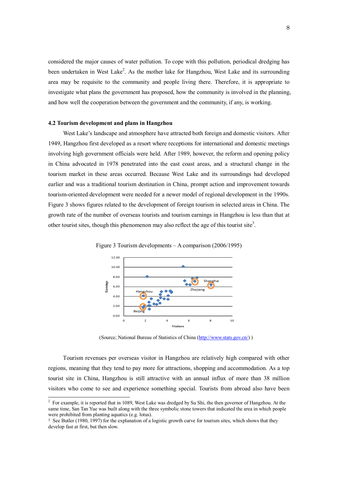considered the major causes of water pollution. To cope with this pollution, periodical dredging has been undertaken in West Lake<sup>2</sup>. As the mother lake for Hangzhou, West Lake and its surrounding area may be requisite to the community and people living there. Therefore, it is appropriate to investigate what plans the government has proposed, how the community is involved in the planning, and how well the cooperation between the government and the community, if any, is working.

#### **4.2 Tourism development and plans in Hangzhou**

 West Lake's landscape and atmosphere have attracted both foreign and domestic visitors. After 1949, Hangzhou first developed as a resort where receptions for international and domestic meetings involving high government officials were held. After 1989, however, the reform and opening policy in China advocated in 1978 penetrated into the east coast areas, and a structural change in the tourism market in these areas occurred. Because West Lake and its surroundings had developed earlier and was a traditional tourism destination in China, prompt action and improvement towards tourism-oriented development were needed for a newer model of regional development in the 1990s. Figure 3 shows figures related to the development of foreign tourism in selected areas in China. The growth rate of the number of overseas tourists and tourism earnings in Hangzhou is less than that at other tourist sites, though this phenomenon may also reflect the age of this tourist site<sup>3</sup>.



Figure 3 Tourism developments – A comparison (2006/1995)

(Source; National Bureau of Statistics of China (http://www.stats.gov.cn/) )

Tourism revenues per overseas visitor in Hangzhou are relatively high compared with other regions, meaning that they tend to pay more for attractions, shopping and accommodation. As a top tourist site in China, Hangzhou is still attractive with an annual influx of more than 38 million visitors who come to see and experience something special. Tourists from abroad also have been

<sup>&</sup>lt;sup>2</sup> For example, it is reported that in 1089, West Lake was dredged by Su Shi, the then governor of Hangzhou. At the same time, San Tan Yue was built along with the three symbolic stone towers that indicated the area in which people were prohibited from planting aquatics (e.g. lotus).

<sup>&</sup>lt;sup>3</sup> See Butler (1980, 1997) for the explanation of a logistic growth curve for tourism sites, which shows that they develop fast at first, but then slow.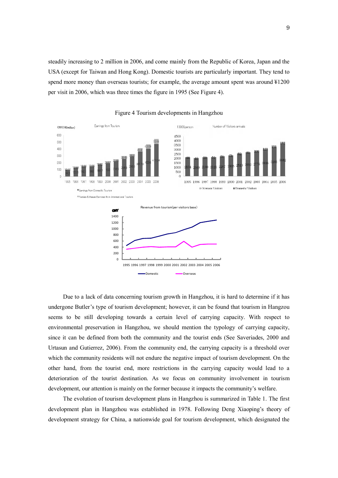steadily increasing to 2 million in 2006, and come mainly from the Republic of Korea, Japan and the USA (except for Taiwan and Hong Kong). Domestic tourists are particularly important. They tend to spend more money than overseas tourists; for example, the average amount spent was around ¥1200 per visit in 2006, which was three times the figure in 1995 (See Figure 4).



Figure 4 Tourism developments in Hangzhou

Due to a lack of data concerning tourism growth in Hangzhou, it is hard to determine if it has undergone Butler's type of tourism development; however, it can be found that tourism in Hangzou seems to be still developing towards a certain level of carrying capacity. With respect to environmental preservation in Hangzhou, we should mention the typology of carrying capacity, since it can be defined from both the community and the tourist ends (See Saveriades, 2000 and Urtasun and Gutierrez, 2006). From the community end, the carrying capacity is a threshold over which the community residents will not endure the negative impact of tourism development. On the other hand, from the tourist end, more restrictions in the carrying capacity would lead to a deterioration of the tourist destination. As we focus on community involvement in tourism development, our attention is mainly on the former because it impacts the community's welfare.

The evolution of tourism development plans in Hangzhou is summarized in Table 1. The first development plan in Hangzhou was established in 1978. Following Deng Xiaoping's theory of development strategy for China, a nationwide goal for tourism development, which designated the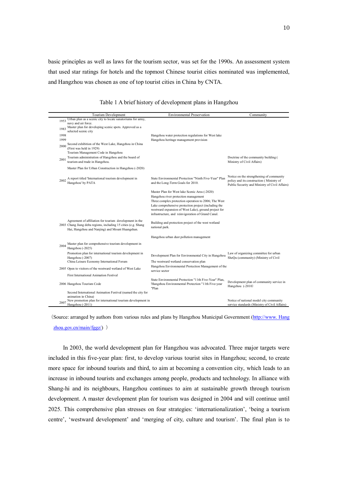basic principles as well as laws for the tourism sector, was set for the 1990s. An assessment system that used star ratings for hotels and the topmost Chinese tourist cities nominated was implemented, and Hangzhou was chosen as one of top tourist cities in China by CNTA.

|                              | Tourism Development                                                                                                                                                           | <b>Environmental Preservation</b>                                                                                                                                  | Community                                                                                                                              |
|------------------------------|-------------------------------------------------------------------------------------------------------------------------------------------------------------------------------|--------------------------------------------------------------------------------------------------------------------------------------------------------------------|----------------------------------------------------------------------------------------------------------------------------------------|
| 1953<br>1983<br>1998<br>1999 | Urban plan as a scenic city to locate sanatoriums for army,<br>navy and air force.<br>Master plan for developing scenic spots. Approved as a<br>selected scenic city          | Hangzhou water protection regulations for West lake<br>Hangzhou heritage management provision                                                                      |                                                                                                                                        |
| 2000                         | Second exhibition of the West Lake, Hangzhou in China<br>(First was held in 1929)<br>Tourism Management Code in Hangzhou                                                      |                                                                                                                                                                    |                                                                                                                                        |
| 2001                         | Tourism administration of Hangzhou and the board of<br>tourism and trade in Hangzhou.                                                                                         |                                                                                                                                                                    | Doctrine of the community building (<br>Ministry of Civil Affairs)                                                                     |
|                              | Master Plan for Urban Construction in Hangzhou (-2020)                                                                                                                        |                                                                                                                                                                    |                                                                                                                                        |
| 2002                         | A report titled 'International tourism development in<br>Hangzhou' by PATA                                                                                                    | State Environmental Protection "Ninth Five-Year" Plan<br>and the Long-Term Goals for 2010.                                                                         | Notice on the strengthening of community<br>policy and its construction (Ministry of<br>Public Security and Ministry of Civil Affairs) |
|                              |                                                                                                                                                                               | Master Plan for West lake Scenic Area (-2020)                                                                                                                      |                                                                                                                                        |
|                              |                                                                                                                                                                               | Hangzhou river protection management<br>Three complex protection operation to 2006; The West                                                                       |                                                                                                                                        |
|                              |                                                                                                                                                                               | Lake comprehensive protection project (including the<br>westward expansion of West Lake), ground project for<br>infrastructure, and reinvigoration of Grand Canal. |                                                                                                                                        |
|                              | Agreement of affiliation for tourism development in the<br>2003 Chang Jiang delta regions, including 15 cities (e.g. Shang<br>Hai, Hangzhou and Nanjing) and Mount Huangshan. | Building and protection project of the west wetland<br>national park.                                                                                              |                                                                                                                                        |
|                              |                                                                                                                                                                               | Hangzhou urban dust pollution management                                                                                                                           |                                                                                                                                        |
| 2004                         | Master plan for comprehensive tourism development in<br>Hangzhou (-2025)                                                                                                      |                                                                                                                                                                    |                                                                                                                                        |
|                              | Promotion plan for international tourism development in                                                                                                                       | Development Plan for Environmental City in Hangzhou                                                                                                                | Law of organizing committee for urban                                                                                                  |
|                              | Hangzhou (-2007)<br>China Leisure Economy International Forum                                                                                                                 | The westward wetland conservation plan                                                                                                                             | SheQu (community) (Ministry of Civil                                                                                                   |
|                              | 2005 Open to visitors of the westward wetland of West Lake                                                                                                                    | Hangzhou Environmental Protection Management of the<br>service sector                                                                                              |                                                                                                                                        |
|                              | <b>First International Animation Festival</b>                                                                                                                                 |                                                                                                                                                                    |                                                                                                                                        |
|                              | 2006 Hangzhou Tourism Code                                                                                                                                                    | State Environmental Protection "11th Five-Year" Plan,<br>'Hangzhou Environmental Protection "11th Five-year<br>"Plan                                               | Development plan of community service in<br>Hangzhou (-2010)                                                                           |
|                              | Second International Animation Festival (named the city for<br>animation in China)                                                                                            |                                                                                                                                                                    |                                                                                                                                        |
| 2007                         | New promotion plan for international tourism development in<br>Hangzhou (-2011)                                                                                               |                                                                                                                                                                    | Notice of national model city community<br>service standards (Ministry of Civil Affairs)                                               |

Table 1 A brief history of development plans in Hangzhou

(Source: arranged by authors from various rules and plans by Hangzhou Municipal Government (http://www. Hang zhou.gov.cn/main/fggz/) )

In 2003, the world development plan for Hangzhou was advocated. Three major targets were included in this five-year plan: first, to develop various tourist sites in Hangzhou; second, to create more space for inbound tourists and third, to aim at becoming a convention city, which leads to an increase in inbound tourists and exchanges among people, products and technology. In alliance with Shang-hi and its neighbours, Hangzhou continues to aim at sustainable growth through tourism development. A master development plan for tourism was designed in 2004 and will continue until 2025. This comprehensive plan stresses on four strategies: 'internationalization', 'being a tourism centre', 'westward development' and 'merging of city, culture and tourism'. The final plan is to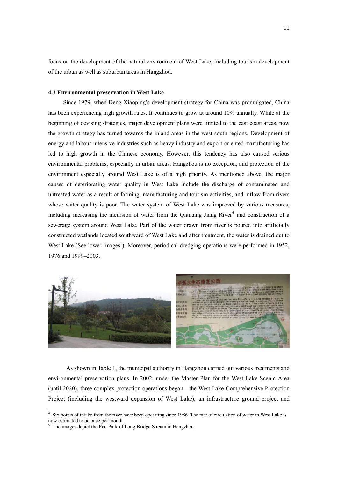focus on the development of the natural environment of West Lake, including tourism development of the urban as well as suburban areas in Hangzhou.

#### **4.3 Environmental preservation in West Lake**

 Since 1979, when Deng Xiaoping's development strategy for China was promulgated, China has been experiencing high growth rates. It continues to grow at around 10% annually. While at the beginning of devising strategies, major development plans were limited to the east coast areas, now the growth strategy has turned towards the inland areas in the west-south regions. Development of energy and labour-intensive industries such as heavy industry and export-oriented manufacturing has led to high growth in the Chinese economy. However, this tendency has also caused serious environmental problems, especially in urban areas. Hangzhou is no exception, and protection of the environment especially around West Lake is of a high priority. As mentioned above, the major causes of deteriorating water quality in West Lake include the discharge of contaminated and untreated water as a result of farming, manufacturing and tourism activities, and inflow from rivers whose water quality is poor. The water system of West Lake was improved by various measures, including increasing the incursion of water from the Qiantang Jiang River $4$  and construction of a sewerage system around West Lake. Part of the water drawn from river is poured into artificially constructed wetlands located southward of West Lake and after treatment, the water is drained out to West Lake (See lower images<sup>5</sup>). Moreover, periodical dredging operations were performed in 1952, 1976 and 1999–2003.



As shown in Table 1, the municipal authority in Hangzhou carried out various treatments and environmental preservation plans. In 2002, under the Master Plan for the West Lake Scenic Area (until 2020), three complex protection operations began—the West Lake Comprehensive Protection Project (including the westward expansion of West Lake), an infrastructure ground project and

 $\overline{a}$ 

<sup>&</sup>lt;sup>4</sup> Six points of intake from the river have been operating since 1986. The rate of circulation of water in West Lake is now estimated to be once per month. 5 The images depict the Eco-Park of Long Bridge Stream in Hangzhou.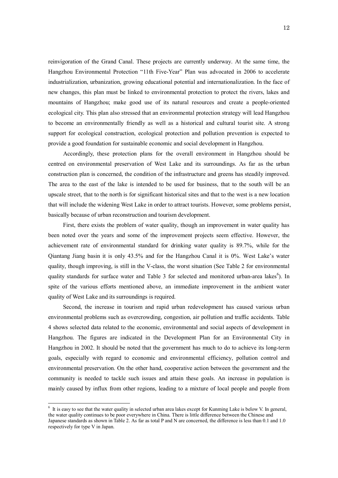reinvigoration of the Grand Canal. These projects are currently underway. At the same time, the Hangzhou Environmental Protection "11th Five-Year" Plan was advocated in 2006 to accelerate industrialization, urbanization, growing educational potential and internationalization. In the face of new changes, this plan must be linked to environmental protection to protect the rivers, lakes and mountains of Hangzhou; make good use of its natural resources and create a people-oriented ecological city. This plan also stressed that an environmental protection strategy will lead Hangzhou to become an environmentally friendly as well as a historical and cultural tourist site. A strong support for ecological construction, ecological protection and pollution prevention is expected to provide a good foundation for sustainable economic and social development in Hangzhou.

Accordingly, these protection plans for the overall environment in Hangzhou should be centred on environmental preservation of West Lake and its surroundings. As far as the urban construction plan is concerned, the condition of the infrastructure and greens has steadily improved. The area to the east of the lake is intended to be used for business, that to the south will be an upscale street, that to the north is for significant historical sites and that to the west is a new location that will include the widening West Lake in order to attract tourists. However, some problems persist, basically because of urban reconstruction and tourism development.

First, there exists the problem of water quality, though an improvement in water quality has been noted over the years and some of the improvement projects seem effective. However, the achievement rate of environmental standard for drinking water quality is 89.7%, while for the Qiantang Jiang basin it is only 43.5% and for the Hangzhou Canal it is 0%. West Lake's water quality, though improving, is still in the V-class, the worst situation (See Table 2 for environmental quality standards for surface water and Table 3 for selected and monitored urban-area lakes<sup>6</sup>). In spite of the various efforts mentioned above, an immediate improvement in the ambient water quality of West Lake and its surroundings is required.

Second, the increase in tourism and rapid urban redevelopment has caused various urban environmental problems such as overcrowding, congestion, air pollution and traffic accidents. Table 4 shows selected data related to the economic, environmental and social aspects of development in Hangzhou. The figures are indicated in the Development Plan for an Environmental City in Hangzhou in 2002. It should be noted that the government has much to do to achieve its long-term goals, especially with regard to economic and environmental efficiency, pollution control and environmental preservation. On the other hand, cooperative action between the government and the community is needed to tackle such issues and attain these goals. An increase in population is mainly caused by influx from other regions, leading to a mixture of local people and people from

 $\overline{a}$ 

 $<sup>6</sup>$  It is easy to see that the water quality in selected urban area lakes except for Kunming Lake is below V. In general,</sup> the water quality continues to be poor everywhere in China. There is little difference between the Chinese and Japanese standards as shown in Table 2. As far as total P and N are concerned, the difference is less than 0.1 and 1.0 respectively for type V in Japan.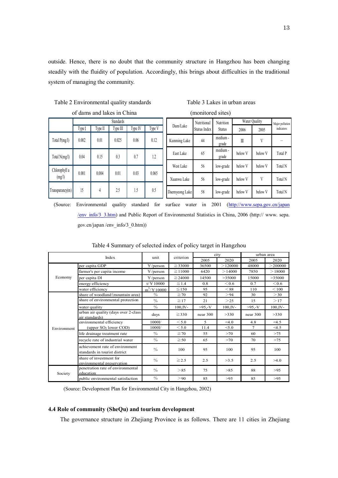outside. Hence, there is no doubt that the community structure in Hangzhou has been changing steadily with the fluidity of population. Accordingly, this brings about difficulties in the traditional system of managing the community.

Table 2 Environmental quality standards Table 3 Lakes in urban areas

| of dams and lakes in China |                                                    |           |       |      |       |  |  |  |  |  |  |  |
|----------------------------|----------------------------------------------------|-----------|-------|------|-------|--|--|--|--|--|--|--|
|                            |                                                    | Standards |       |      |       |  |  |  |  |  |  |  |
|                            | Type II<br>Type III<br>Type IV<br>Type V<br>Type I |           |       |      |       |  |  |  |  |  |  |  |
| Total P(mg/l)              | 0.002                                              | 0.01      | 0.025 | 0.06 | 0.12  |  |  |  |  |  |  |  |
| Total N(mg/l)              | 0.04                                               | 0.15      | 0.3   | 0.7  | 1.2   |  |  |  |  |  |  |  |
| Chlorophyll a<br>(mg/l)    | 0.001                                              | 0.004     | 0.01  | 0.03 | 0.065 |  |  |  |  |  |  |  |
| Transparancy(m)            | 15                                                 | 4         | 2.5   | 1.5  | 0.5   |  |  |  |  |  |  |  |

|  |  |  | Table 3 Lakes in urban area: |  |
|--|--|--|------------------------------|--|
|  |  |  |                              |  |

| (monitored sites) |                                    |                   |         |               |                 |  |  |  |  |  |
|-------------------|------------------------------------|-------------------|---------|---------------|-----------------|--|--|--|--|--|
| Dam/Lake          | Nutritional                        | Nutrition         |         | Water Quality | Major pollution |  |  |  |  |  |
|                   | Status Index                       | <b>Status</b>     | 2006    | 2005          | indicators      |  |  |  |  |  |
| Kunming Lake      | 44                                 | medium -<br>grade | Ⅲ       | V             |                 |  |  |  |  |  |
| East Lake         | medium -<br>below V<br>65<br>grade |                   |         | below V       | Total P         |  |  |  |  |  |
| West Lake         | 56                                 | low-grade         | below V | below V       | Total N         |  |  |  |  |  |
| Xuanwu Lake       | 56                                 | low-grade         | below V | V             | Total N         |  |  |  |  |  |
| Daemyeong Lake    | 58                                 | low-grade         | below V | below V       | <b>Total N</b>  |  |  |  |  |  |

(Source: Environmental quality standard for surface water in 2001 (http://www.sepa.gov.cn/japan /env\_info/3\_3.htm) and Public Report of Environmental Statistics in China, 2006 (http:// www. sepa. gov.cn/japan /env\_info/3\_0.htm))

| Index       |                                                                  | criterion<br>unit      |              |           | city        | urban area |             |  |
|-------------|------------------------------------------------------------------|------------------------|--------------|-----------|-------------|------------|-------------|--|
|             |                                                                  |                        |              | 2005      | 2020        | 2005       | 2020        |  |
|             | per capita GDP                                                   | $\frac{1}{2}$ /person  | $\geq$ 33000 | 36500     | >120000     | 48000      | $>$ 200000  |  |
| Economy     | farmer's per capita income                                       | $\frac{1}{2}$ /person  | $\geq$ 11000 | 6420      | >14000      | 7850       | >18000      |  |
|             | per capita DI                                                    | $\frac{1}{2}$ /person  | $\geq$ 24000 | 14500     | >35000      | 15000      | >35000      |  |
|             | energy efficiency                                                | $t/\frac{3}{2}10000$   | $\leq 1.4$   | 0.8       | < 0.6       | 0.7        | < 0.6       |  |
|             | water efficiency                                                 | $m^3/\frac{110000}{m}$ | $\leq 150$   | 95        | < 88        | 110        | < 100       |  |
|             | share of woodland (mountain area)                                | $\frac{0}{0}$          | $\geq 70$    | 92        | > 94        | 30         | >30         |  |
|             | share of environmental protection                                | $\%$                   | $\geq$ 17    | 21        | >25         | 15         | >17         |  |
|             | water quality                                                    | $\%$                   | $100$ , IV-  | $>95. -V$ | $100$ , IV- | $>95. -V$  | $100$ , IV- |  |
|             | urban air quality (days over 2-class)<br>air standards)          | days                   | $\geq$ 330   | near 300  | >330        | near 300   | >330        |  |
|             | environmental efficiency                                         | 1000l/                 | $<$ 5.0      | 5         | <4.0        | 4.8        | 4.5         |  |
| Environment | (upper SO <sub>2</sub> lower COD)                                | 10001/                 | $<$ 5.0      | 11.4      | < 5.0       | 7          | 4.5         |  |
|             | life drainage treatment rate                                     | $\%$                   | $\geq 70$    | 55        | >70         | 60         | >75         |  |
|             | recycle rate of industrial water                                 | $\%$                   | $\geq 50$    | 65        | >70         | 70         | >75         |  |
|             | achievement rate of environment<br>standards in tourist district | $\%$                   | 100          | 95        | 100         | 95         | 100         |  |
|             | share of investment for<br>environmental preservation            | $\%$                   | $\geq 2.5$   | 2.5       | >3.5        | 2.5        | >4.0        |  |
| Society     | penetration rate of environmental<br>education                   | $\%$                   | > 85         | 75        | >85         | 88         | >95         |  |
|             | public environmental satisfaction                                | $\%$                   | > 90         | 85        | >95         | 85         | >95         |  |

Table 4 Summary of selected index of policy target in Hangzhou

(Source: Development Plan for Environmental City in Hangzhou, 2002)

#### **4.4 Role of community (SheQu) and tourism development**

The governance structure in Zhejiang Province is as follows. There are 11 cities in Zhejiang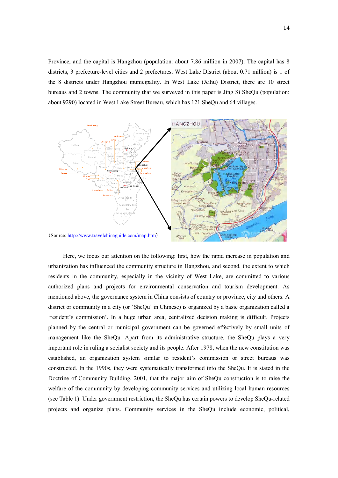Province, and the capital is Hangzhou (population: about 7.86 million in 2007). The capital has 8 districts, 3 prefecture-level cities and 2 prefectures. West Lake District (about 0.71 million) is 1 of the 8 districts under Hangzhou municipality. In West Lake (Xihu) District, there are 10 street bureaus and 2 towns. The community that we surveyed in this paper is Jing Si SheQu (population: about 9290) located in West Lake Street Bureau, which has 121 SheQu and 64 villages.



Here, we focus our attention on the following: first, how the rapid increase in population and urbanization has influenced the community structure in Hangzhou, and second, the extent to which residents in the community, especially in the vicinity of West Lake, are committed to various authorized plans and projects for environmental conservation and tourism development. As mentioned above, the governance system in China consists of country or province, city and others. A district or community in a city (or 'SheQu' in Chinese) is organized by a basic organization called a 'resident's commission'. In a huge urban area, centralized decision making is difficult. Projects planned by the central or municipal government can be governed effectively by small units of management like the SheQu. Apart from its administrative structure, the SheQu plays a very important role in ruling a socialist society and its people. After 1978, when the new constitution was established, an organization system similar to resident's commission or street bureaus was constructed. In the 1990s, they were systematically transformed into the SheQu. It is stated in the Doctrine of Community Building, 2001, that the major aim of SheQu construction is to raise the welfare of the community by developing community services and utilizing local human resources (see Table 1). Under government restriction, the SheQu has certain powers to develop SheQu-related projects and organize plans. Community services in the SheQu include economic, political,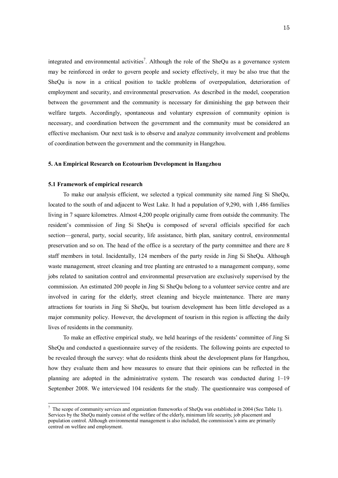integrated and environmental activities<sup>7</sup>. Although the role of the SheQu as a governance system may be reinforced in order to govern people and society effectively, it may be also true that the SheQu is now in a critical position to tackle problems of overpopulation, deterioration of employment and security, and environmental preservation. As described in the model, cooperation between the government and the community is necessary for diminishing the gap between their welfare targets. Accordingly, spontaneous and voluntary expression of community opinion is necessary, and coordination between the government and the community must be considered an effective mechanism. Our next task is to observe and analyze community involvement and problems of coordination between the government and the community in Hangzhou.

#### **5. An Empirical Research on Ecotourism Development in Hangzhou**

#### **5.1 Framework of empirical research**

 $\overline{a}$ 

 To make our analysis efficient, we selected a typical community site named Jing Si SheQu, located to the south of and adjacent to West Lake. It had a population of 9,290, with 1,486 families living in 7 square kilometres. Almost 4,200 people originally came from outside the community. The resident's commission of Jing Si SheQu is composed of several officials specified for each section—general, party, social security, life assistance, birth plan, sanitary control, environmental preservation and so on. The head of the office is a secretary of the party committee and there are 8 staff members in total. Incidentally, 124 members of the party reside in Jing Si SheQu. Although waste management, street cleaning and tree planting are entrusted to a management company, some jobs related to sanitation control and environmental preservation are exclusively supervised by the commission. An estimated 200 people in Jing Si SheQu belong to a volunteer service centre and are involved in caring for the elderly, street cleaning and bicycle maintenance. There are many attractions for tourists in Jing Si SheQu, but tourism development has been little developed as a major community policy. However, the development of tourism in this region is affecting the daily lives of residents in the community.

 To make an effective empirical study, we held hearings of the residents' committee of Jing Si SheQu and conducted a questionnaire survey of the residents. The following points are expected to be revealed through the survey: what do residents think about the development plans for Hangzhou, how they evaluate them and how measures to ensure that their opinions can be reflected in the planning are adopted in the administrative system. The research was conducted during 1–19 September 2008. We interviewed 104 residents for the study. The questionnaire was composed of

 $^7$  The scope of community services and organization frameworks of SheQu was established in 2004 (See Table 1). Services by the SheQu mainly consist of the welfare of the elderly, minimum life security, job placement and population control. Although environmental management is also included, the commission's aims are primarily centred on welfare and employment.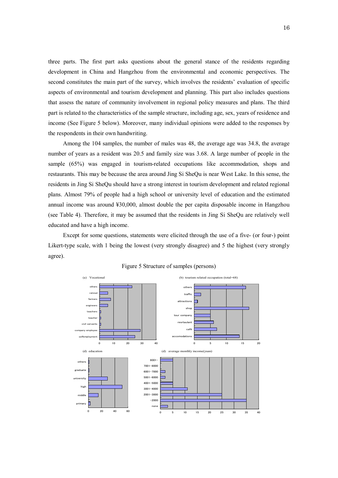three parts. The first part asks questions about the general stance of the residents regarding development in China and Hangzhou from the environmental and economic perspectives. The second constitutes the main part of the survey, which involves the residents' evaluation of specific aspects of environmental and tourism development and planning. This part also includes questions that assess the nature of community involvement in regional policy measures and plans. The third part is related to the characteristics of the sample structure, including age, sex, years of residence and income (See Figure 5 below). Moreover, many individual opinions were added to the responses by the respondents in their own handwriting.

Among the 104 samples, the number of males was 48, the average age was 34.8, the average number of years as a resident was 20.5 and family size was 3.68. A large number of people in the sample (65%) was engaged in tourism-related occupations like accommodation, shops and restaurants. This may be because the area around Jing Si SheQu is near West Lake. In this sense, the residents in Jing Si SheQu should have a strong interest in tourism development and related regional plans. Almost 79% of people had a high school or university level of education and the estimated annual income was around ¥30,000, almost double the per capita disposable income in Hangzhou (see Table 4). Therefore, it may be assumed that the residents in Jing Si SheQu are relatively well educated and have a high income.

Except for some questions, statements were elicited through the use of a five- (or four-) point Likert-type scale, with 1 being the lowest (very strongly disagree) and 5 the highest (very strongly agree).



#### Figure 5 Structure of samples (persons)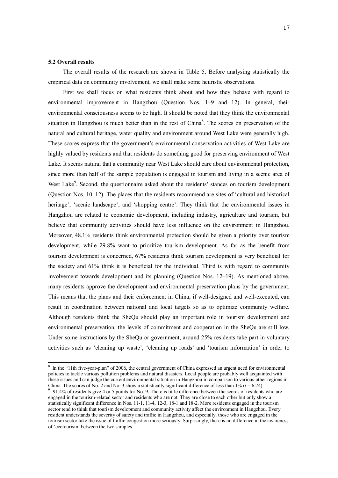#### **5.2 Overall results**

 $\overline{a}$ 

The overall results of the research are shown in Table 5. Before analysing statistically the empirical data on community involvement, we shall make some heuristic observations.

First we shall focus on what residents think about and how they behave with regard to environmental improvement in Hangzhou (Question Nos. 1–9 and 12). In general, their environmental consciousness seems to be high. It should be noted that they think the environmental situation in Hangzhou is much better than in the rest of China $\delta$ . The scores on preservation of the natural and cultural heritage, water quality and environment around West Lake were generally high. These scores express that the government's environmental conservation activities of West Lake are highly valued by residents and that residents do something good for preserving environment of West Lake. It seems natural that a community near West Lake should care about environmental protection, since more than half of the sample population is engaged in tourism and living in a scenic area of West Lake<sup>9</sup>. Second, the questionnaire asked about the residents' stances on tourism development (Question Nos. 10–12). The places that the residents recommend are sites of 'cultural and historical heritage', 'scenic landscape', and 'shopping centre'. They think that the environmental issues in Hangzhou are related to economic development, including industry, agriculture and tourism, but believe that community activities should have less influence on the environment in Hangzhou. Moreover, 48.1% residents think environmental protection should be given a priority over tourism development, while 29.8% want to prioritize tourism development. As far as the benefit from tourism development is concerned, 67% residents think tourism development is very beneficial for the society and 61% think it is beneficial for the individual. Third is with regard to community involvement towards development and its planning (Question Nos. 12–19). As mentioned above, many residents approve the development and environmental preservation plans by the government. This means that the plans and their enforcement in China, if well-designed and well-executed, can result in coordination between national and local targets so as to optimize community welfare. Although residents think the SheQu should play an important role in tourism development and environmental preservation, the levels of commitment and cooperation in the SheQu are still low. Under some instructions by the SheQu or government, around 25% residents take part in voluntary activities such as 'cleaning up waste', 'cleaning up roads' and 'tourism information' in order to

<sup>&</sup>lt;sup>8</sup> In the "11th five-year-plan" of 2006, the central government of China expressed an urgent need for environmental policies to tackle various pollution problems and natural disasters. Local people are probably well acquainted with these issues and can judge the current environmental situation in Hangzhou in comparison to various other regions in

China. The scores of No. 2 and No. 3 show a statistically significant difference of less than 1% ( $t = 6.74$ ).<br><sup>9</sup> 91.4% of residents give 4 or 5 points for No. 9. There is little difference between the scores of residents engaged in the tourism-related sector and residents who are not. They are close to each other but only show a statistically significant difference in Nos. 11-1, 11-4, 12-3, 18-1 and 18-2. More residents engaged in the tourism sector tend to think that tourism development and community activity affect the environment in Hangzhou. Every resident understands the severity of safety and traffic in Hangzhou, and especially, those who are engaged in the tourism sector take the issue of traffic congestion more seriously. Surprisingly, there is no difference in the awareness of 'ecotourism' between the two samples.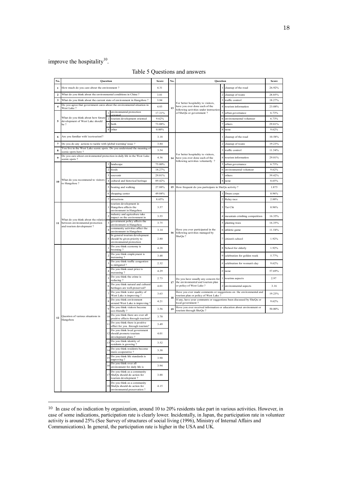## improve the hospitality $10$ .

| No.                     | <b>Question</b>                                                                                         |                            | Score                                                                                       | No.                       | Question |                                                                                                                       | Score                                                                |                               |        |
|-------------------------|---------------------------------------------------------------------------------------------------------|----------------------------|---------------------------------------------------------------------------------------------|---------------------------|----------|-----------------------------------------------------------------------------------------------------------------------|----------------------------------------------------------------------|-------------------------------|--------|
| $\mathbf{1}$            | How much do you care about the environment ?                                                            |                            |                                                                                             | 4.31                      |          |                                                                                                                       |                                                                      | cleanup of the road           | 26.92% |
| $\mathbf{2}$            | What do you think about the environmental conditions in China?                                          |                            |                                                                                             | 3.01                      |          |                                                                                                                       |                                                                      | cleanup of waste              | 28.85% |
| 3                       | What do you think about the current state of environment in Hangzhou?                                   |                            |                                                                                             | 3.84                      |          |                                                                                                                       |                                                                      | traffic control               | 18.27% |
| $\overline{\mathbf{4}}$ | Do you agree that government cares about the environmental situation in                                 |                            |                                                                                             | 4.03                      |          | For better hospitality to visitors,<br>have you ever done each of the                                                 | 4                                                                    | tourism information           | 23.08% |
|                         | West Lake?                                                                                              |                            | environmental protection                                                                    | 17.31%                    | 13       | following activities under instruction                                                                                |                                                                      |                               |        |
|                         | What do you think about how future                                                                      | $\mathbf{1}$<br>$\sqrt{2}$ |                                                                                             |                           |          | of SheQu or government?                                                                                               |                                                                      | urban governance              | 6.73%  |
| 5                       | development of West Lake should                                                                         | 3                          | tourism development oriented                                                                | 9.62%                     |          |                                                                                                                       | 6                                                                    | environemental volunteer      | 6.73%  |
|                         | be ?                                                                                                    | $\overline{4}$             | both                                                                                        | 73.08%                    |          |                                                                                                                       | 8                                                                    | others                        | 29.81% |
|                         |                                                                                                         |                            | other                                                                                       | $0.00\%$                  |          |                                                                                                                       |                                                                      | none                          | 9.62%  |
|                         | Are you familiar with 'ecotourism'?                                                                     |                            |                                                                                             | 3.18                      |          |                                                                                                                       |                                                                      | 1 cleanup of the road         | 10.58% |
| 7                       | Do you do any actions to tackle with 'global warming' issue ?                                           |                            |                                                                                             | 3.84                      |          |                                                                                                                       |                                                                      | cleanup of waste              | 19.23% |
| 8                       | You live in the West Lake scenic spots. Do you understand the meaning of<br>scenic spots here?          |                            |                                                                                             | 3.54                      |          |                                                                                                                       | 3                                                                    | traffic control               | 11.54% |
| 9                       | Do you care about environmental protection in daily life in the West Lake<br>scenic spots?              |                            |                                                                                             | 4.36                      |          | For better hospitality to visitors,<br>14 have you ever done each of the<br>following activities voluntarily ?        | 4                                                                    | tourism information           | 29.81% |
|                         |                                                                                                         | -1                         | landscape                                                                                   | 75.00%                    |          |                                                                                                                       |                                                                      | urban governance              | 6.73%  |
|                         |                                                                                                         | $\,2\,$                    | foods                                                                                       | 18.27%                    |          |                                                                                                                       | 6                                                                    | environmental volunteer       | 9.62%  |
|                         |                                                                                                         |                            | souvenir                                                                                    | 29.81%                    |          |                                                                                                                       |                                                                      | others                        | 39.42% |
| 10                      | What do you recommend to visitors                                                                       | $\overline{4}$             | cultural and historical heritage                                                            | 89.42%                    |          |                                                                                                                       |                                                                      | none                          | 8.65%  |
|                         | to Hangzhou?                                                                                            | 5                          | boating and walking                                                                         | 27.88%                    |          | 15 How frequent do you participate in SheQu activity?                                                                 |                                                                      |                               | 1.875  |
|                         |                                                                                                         | 6                          | shopping center                                                                             | 49.04%                    |          |                                                                                                                       |                                                                      | Drum corps                    | 0.96%  |
|                         |                                                                                                         |                            | attractions                                                                                 | 8.65%                     |          | Have you ever participated in the<br>following activities managed by                                                  |                                                                      | Relay race                    | 2.88%  |
|                         |                                                                                                         | 1                          | tourism development in<br>Hangzhou affects the<br>environment in Hangzhou                   | 3.57                      |          |                                                                                                                       |                                                                      | 3 Tai Chi                     | 0.96%  |
|                         | What do you think about the relation<br>11 between environmental protection<br>and tourism development? |                            | industry and agriculture take<br>impact on the environment in                               | 3.55                      | 16       |                                                                                                                       |                                                                      | mountain crimbing competition | 16.35% |
|                         |                                                                                                         | 3                          | government policy affects the<br>environment in Hangzhou                                    | 3.75                      |          |                                                                                                                       |                                                                      | planting trees                | 16.35% |
|                         |                                                                                                         |                            | community activities affect the<br>environment in Hangzhou                                  | 3.14                      |          |                                                                                                                       |                                                                      | 6 athletic game               | 11.54% |
|                         |                                                                                                         | 5                          | In general tourism development<br>should be given priority to<br>environmental protection   | 2.80                      |          | SheQu ?                                                                                                               |                                                                      | citizen's school              | 1.92%  |
|                         |                                                                                                         |                            | Do you think economy is<br>booming?                                                         | 4.28                      |          |                                                                                                                       |                                                                      | 8 School for elderly          | 1.92%  |
|                         |                                                                                                         |                            | Do you think employment is<br>increasing?                                                   | 3.48                      |          |                                                                                                                       |                                                                      | celebration for golden week   | 5.77%  |
|                         |                                                                                                         | 3                          | Do you think traffic congestion<br>is mitigated?                                            | 2.32                      |          |                                                                                                                       | #                                                                    | celebration for women's day   | 9.62%  |
|                         |                                                                                                         |                            | Do you think asset price is<br>increasing?                                                  | 4.29                      |          |                                                                                                                       |                                                                      | # none                        | 57.69% |
|                         |                                                                                                         | 5                          | Do you think the crime is<br>reducing?                                                      | 2.73                      | 17       | Do you have usually any concern for<br>the environmental and tourism plan<br>or policy of West Lake?<br>$\mathcal{D}$ |                                                                      | tourims aepects               | 2.97   |
|                         |                                                                                                         | 6                          | Do you think natural and cultural<br>heritages are well-preserved?                          | 4.01                      |          |                                                                                                                       |                                                                      | environmental aspects         | 3.16   |
|                         |                                                                                                         |                            | Do you think water quality of<br>West Lake is improving?                                    | 3.63                      | 18       | Have you ever made comments or suggestions on the environmental and<br>tourism plan or policy of West Lake ?          |                                                                      |                               | 19.23% |
|                         |                                                                                                         | 8                          | Do you think environment<br>around West Lake is improving?                                  | 4.21<br>local government? |          |                                                                                                                       | If any, have your comments or suggestions been discussed by SheQu or |                               |        |
|                         |                                                                                                         | 9                          | Do you think visitors become<br>eco-friendly?                                               | 3.56                      | 19       | Hove you ever received information or education about environment or<br>tourism through SheQu?                        |                                                                      |                               | 50.00% |
| $\bf{12}$               | Question of various situations in<br>Hangzhou                                                           | 10                         | Do you think there are over all<br>positive effects through tourism?                        | 3.70                      |          |                                                                                                                       |                                                                      |                               |        |
|                         |                                                                                                         |                            | Do you think there is positive<br>effect for you through tourism?                           | 3.49                      |          |                                                                                                                       |                                                                      |                               |        |
|                         |                                                                                                         |                            | Do you think local government<br>should promote tourism<br>development plans?               | 4.01                      |          |                                                                                                                       |                                                                      |                               |        |
|                         |                                                                                                         | 13                         | Do you think identity of<br>residents is growing?                                           | 3.52                      |          |                                                                                                                       |                                                                      |                               |        |
|                         |                                                                                                         | 14                         | Do you think residents become<br>more cooperative?                                          | 3.38                      |          |                                                                                                                       |                                                                      |                               |        |
|                         |                                                                                                         | 15                         | Do you think life standards is<br>improving?                                                | 3.90                      |          |                                                                                                                       |                                                                      |                               |        |
|                         |                                                                                                         | 16                         | Do you think over all<br>environment for daily life is                                      | 3.94                      |          |                                                                                                                       |                                                                      |                               |        |
|                         |                                                                                                         |                            | Do you think as a community<br>17 SheQu should do action for<br>tourism development?        | 3.88                      |          |                                                                                                                       |                                                                      |                               |        |
|                         |                                                                                                         |                            | Do you think as a community<br>18 SheQu should do action for<br>environmental preservation? | 4.15                      |          |                                                                                                                       |                                                                      |                               |        |

### Table 5 Questions and answers

 $\overline{a}$ 

<sup>&</sup>lt;sup>10</sup> In case of no indication by organization, around 10 to 20% residents take part in various activities. However, in case of some indications, participation rate is clearly lower. Incidentally, in Japan, the participation rate in volunteer activity is around 25% (See Survey of structures of social living (1996), Ministry of Internal Affairs and Communications). In general, the participation rate is higher in the USA and UK.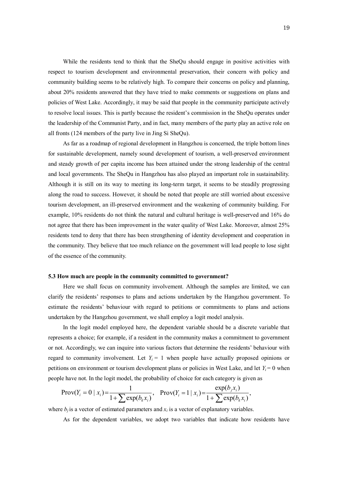While the residents tend to think that the SheQu should engage in positive activities with respect to tourism development and environmental preservation, their concern with policy and community building seems to be relatively high. To compare their concerns on policy and planning, about 20% residents answered that they have tried to make comments or suggestions on plans and policies of West Lake. Accordingly, it may be said that people in the community participate actively to resolve local issues. This is partly because the resident's commission in the SheQu operates under the leadership of the Communist Party, and in fact, many members of the party play an active role on all fronts (124 members of the party live in Jing Si SheQu).

As far as a roadmap of regional development in Hangzhou is concerned, the triple bottom lines for sustainable development, namely sound development of tourism, a well-preserved environment and steady growth of per capita income has been attained under the strong leadership of the central and local governments. The SheQu in Hangzhou has also played an important role in sustainability. Although it is still on its way to meeting its long-term target, it seems to be steadily progressing along the road to success. However, it should be noted that people are still worried about excessive tourism development, an ill-preserved environment and the weakening of community building. For example, 10% residents do not think the natural and cultural heritage is well-preserved and 16% do not agree that there has been improvement in the water quality of West Lake. Moreover, almost 25% residents tend to deny that there has been strengthening of identity development and cooperation in the community. They believe that too much reliance on the government will lead people to lose sight of the essence of the community.

#### **5.3 How much are people in the community committed to government?**

 Here we shall focus on community involvement. Although the samples are limited, we can clarify the residents' responses to plans and actions undertaken by the Hangzhou government. To estimate the residents' behaviour with regard to petitions or commitments to plans and actions undertaken by the Hangzhou government, we shall employ a logit model analysis.

In the logit model employed here, the dependent variable should be a discrete variable that represents a choice; for example, if a resident in the community makes a commitment to government or not. Accordingly, we can inquire into various factors that determine the residents' behaviour with regard to community involvement. Let  $Y_i = 1$  when people have actually proposed opinions or petitions on environment or tourism development plans or policies in West Lake, and let  $Y_i = 0$  when people have not. In the logit model, the probability of choice for each category is given as

$$
\text{Prov}(Y_i = 0 \mid x_i) = \frac{1}{1 + \sum \exp(b_k x_i)}, \quad \text{Prov}(Y_i = 1 \mid x_i) = \frac{\exp(b_j x_i)}{1 + \sum \exp(b_k x_i)},
$$

where  $b_j$  is a vector of estimated parameters and  $x_i$  is a vector of explanatory variables.

As for the dependent variables, we adopt two variables that indicate how residents have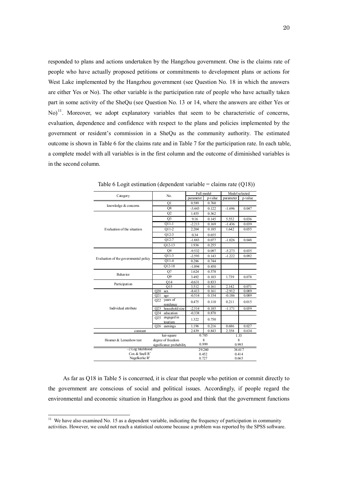responded to plans and actions undertaken by the Hangzhou government. One is the claims rate of people who have actually proposed petitions or commitments to development plans or actions for West Lake implemented by the Hangzhou government (see Question No. 18 in which the answers are either Yes or No). The other variable is the participation rate of people who have actually taken part in some activity of the SheQu (see Question No. 13 or 14, where the answers are either Yes or No)<sup>11</sup>. Moreover, we adopt explanatory variables that seem to be characteristic of concerns, evaluation, dependence and confidence with respect to the plans and policies implemented by the government or resident's commission in a SheQu as the community authority. The estimated outcome is shown in Table 6 for the claims rate and in Table 7 for the participation rate. In each table, a complete model with all variables is in the first column and the outcome of diminished variables is in the second column.

| Category                              | No.                           |           | Full model | Model selected |         |  |
|---------------------------------------|-------------------------------|-----------|------------|----------------|---------|--|
|                                       |                               | parameter | p-value    | parameter      | p-value |  |
| knowledge & concerns                  | O <sub>1</sub>                | 0.589     | 0.760      |                |         |  |
|                                       | Q8                            | $-3.443$  | 0.122      | $-1.696$       | 0.047   |  |
|                                       | Q2                            | 1.455     | 0.362      |                |         |  |
|                                       | O <sub>3</sub>                | 9.16      | 0.145      | 5.552          | 0.036   |  |
| Evaluation of the situation           | $Q11-1$                       | $-2.213$  | 0.169      | $-1.436$       | 0.039   |  |
|                                       | $Q11-2$                       | 2.204     | 0.185      | 1.642          | 0.055   |  |
|                                       | $Q12-3$                       | 0.34      | 0.655      |                |         |  |
|                                       | O12-7                         | $-1.883$  | 0.077      | $-1.026$       | 0.048   |  |
|                                       | $Q12-13$                      | 1.936     | 0.255      |                |         |  |
|                                       | <b>O4</b>                     | $-9.532$  | 0.097      | $-5.273$       | 0.035   |  |
| Evaluation of the governmental policy | $Q11-3$                       | $-2.593$  | 0.143      | $-1.222$       | 0.092   |  |
|                                       | $Q11-4$                       | 0.286     | 0.744      |                |         |  |
|                                       | Q12-18                        | $-1.094$  | 0.450      |                |         |  |
|                                       | Q7                            | 1.624     | 0.578      |                |         |  |
| <b>Behavior</b>                       | O <sub>9</sub>                | 3.492     | 0.103      | 1.739          | 0.078   |  |
| Participation                         | O14                           | $-0.631$  | 0.833      |                |         |  |
|                                       | O15                           | 3.512     | 0.161      | 2.142          | 0.071   |  |
|                                       | O20<br>sex                    | $-8.413$  | 0.161      | $-2.912$       | 0.089   |  |
|                                       | Q21<br>age                    | $-0.514$  | 0.154      | $-0.186$       | 0.089   |  |
|                                       | years of<br>O22               | 0.475     | 0.110      | 0.211          | 0.015   |  |
|                                       | residence                     |           |            |                |         |  |
| Individual attribute                  | household size<br>O23         | $-2.514$  | 0.185      | $-1.171$       | 0.059   |  |
|                                       | O24 education                 | $-0.338$  | 0.870      |                |         |  |
|                                       | engaged in<br>O <sub>25</sub> | 1.322     | 0.750      |                |         |  |
|                                       | tourism<br>O <sub>26</sub>    | 1.196     | 0.216      |                | 0.027   |  |
|                                       | earnings                      | 2.439     | 0.843      | 0.686<br>2.358 | 0.634   |  |
| constant                              | kai-square                    |           | 0.785      |                | 1.33    |  |
| Hosmer & Lemeshow test                | degree of freedom             |           | 8          |                |         |  |
|                                       |                               |           | 0.999      | 8              |         |  |
| -2 Log likelihood                     | significance probability      |           |            | 0.995          |         |  |
| Cox & Snell $R^2$                     |                               |           | 29.260     |                | 34.617  |  |
| Nagelkerke $R^2$                      |                               | 0.452     |            |                | 0.414   |  |
|                                       |                               | 0.727     |            | 0.665          |         |  |

Table 6 Logit estimation (dependent variable = claims rate  $(Q18)$ )

As far as Q18 in Table 5 is concerned, it is clear that people who petition or commit directly to the government are conscious of social and political issues. Accordingly, if people regard the environmental and economic situation in Hangzhou as good and think that the government functions

 $\overline{a}$ 

<sup>&</sup>lt;sup>11</sup> We have also examined No. 15 as a dependent variable, indicating the frequency of participation in community activities. However, we could not reach a statistical outcome because a problem was reported by the SPSS software.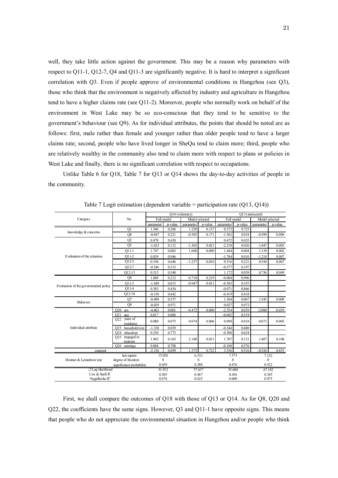well, they take little action against the government. This may be a reason why parameters with respect to Q11-1, Q12-7, Q4 and Q11-3 are significantly negative. It is hard to interpret a significant correlation with Q3. Even if people approve of environmental conditions in Hangzhou (see Q3), those who think that the environment is negatively affected by industry and agriculture in Hangzhou tend to have a higher claims rate (see Q11-2). Moreover, people who normally work on behalf of the environment in West Lake may be so eco-conscious that they tend to be sensitive to the government's behaviour (see Q9). As for individual attributes, the points that should be noted are as follows: first, male rather than female and younger rather than older people tend to have a larger claims rate; second, people who have lived longer in SheQu tend to claim more; third, people who are relatively wealthy in the community also tend to claim more with respect to plans or policies in West Lake and finally, there is no significant correlation with respect to occupations.

Unlike Table 6 for Q18, Table 7 for Q13 or Q14 shows the day-to-day activities of people in the community.

|                                                     |                                          |                 |         | O14 (voluntary) |         | O13 (instructed) |         |                 |         |  |
|-----------------------------------------------------|------------------------------------------|-----------------|---------|-----------------|---------|------------------|---------|-----------------|---------|--|
| Category                                            | No.                                      | Full model      |         | Model selected  |         | Full model       |         | Model selected  |         |  |
|                                                     |                                          | parameter       | p-value | parameter       | p-value | parameter        | p-value | parameter       | p-value |  |
|                                                     | Q1                                       | 1.546           | 0.206   | 1.220           | 0.137   | 0.372            | 0.725   |                 |         |  |
| knowledge & concerns                                | Q8                                       | $-0.647$        | 0.221   | $-0.505$        | 0.171   | $-1.562$         | 0.018   | $-0.599$        | 0.096   |  |
|                                                     | Q2                                       | 0.478           | 0.438   |                 |         | 0.472            | 0.435   |                 |         |  |
|                                                     | Q <sub>3</sub>                           | $-1.623$        | 0.112   | $-1.302$        | 0.021   | $-2.210$         | 0.026   | $-1.847$        | 0.003   |  |
|                                                     | $Q11-1$                                  | 1.747           | 0.003   | 1.600           | 0.000   | 1.444            | 0.004   | 1.139           | 0.002   |  |
| Evaluation of the situation                         | $Q11-2$                                  | 0.039           | 0.946   |                 |         | $-1.784$         | 0.010   | $-1.218$        | 0.007   |  |
|                                                     | $O12-3$                                  | 0.194           | 0.646   | $-1.257$        | 0.010   | 0.516            | 0.221   | 0.544           | 0.067   |  |
|                                                     | $Q12-7$                                  | $-0.546$        | 0.315   |                 |         | $-0.577$         | 0.197   |                 |         |  |
|                                                     | $Q12-13$                                 | 0.315           | 0.540   |                 |         | 1.172            | 0.038   | 0.736           | 0.049   |  |
|                                                     | O <sub>4</sub>                           | 1.089           | 0.212   | 0.718           | 0.219   | $-0.004$         | 0.996   |                 |         |  |
|                                                     | $O11-3$                                  | $-1.449$        | 0.015   | $-0.947$        | 0.011   | $-0.385$         | 0.355   |                 |         |  |
| Evaluation of the governmental policy               | $Q11-4$                                  | 0.383           | 0.434   |                 |         | $-0.071$         | 0.866   |                 |         |  |
|                                                     | $O12-18$                                 | $-0.150$        | 0.842   |                 |         | $-0.419$         | 0.418   |                 |         |  |
|                                                     | Q7                                       | $-0.498$        | 0.537   |                 |         | 1.384            | 0.067   | 1.545           | 0.009   |  |
| <b>Behavior</b>                                     | O <sub>9</sub>                           | $-0.029$        | 0.971   |                 |         | 0.027            | 0.973   |                 |         |  |
|                                                     | O20<br>sex                               | $-4.463$        | 0.001   | -4.472          | 0.000   | $-2.354$         | 0.039   | $-2.000$        | 0.019   |  |
|                                                     | O21<br>age                               | 0.017           | 0.806   |                 |         | $-0.042$         | 0.519   |                 |         |  |
|                                                     | years of<br>O22<br>residence             | 0.080           | 0.075   | 0.074           | 0.006   | 0.098            | 0.018   | 0.073           | 0.003   |  |
| Individual attribute                                | household size<br>O <sub>2</sub> 3       | $-1.338$        | 0.039   |                 |         | $-0.344$         | 0.480   |                 |         |  |
|                                                     | education<br>O24                         | 0.230           | 0.773   |                 |         | $-0.388$         | 0.624   |                 |         |  |
|                                                     | engaged in<br>O <sub>25</sub><br>tourism | 1.982           | 0.103   | 2.180           | 0.031   | 1.707            | 0.121   | 1.407           | 0.108   |  |
|                                                     | <b>Q26</b><br>earnings                   | 0.084           | 0.798   |                 |         | $-0.188$         | 0.576   |                 |         |  |
| constant                                            |                                          | $-2.156$        | 0.699   | 1.373           | 0.722   | 3.536            | 0.516   | $-0.526$        | 0.853   |  |
|                                                     | kai-square                               | 15.026          |         | 6.533           |         | 7.573            |         | 7.132           |         |  |
| Hosmer & Lemeshow test                              | degree of freedom                        | 8<br>0.059      |         | 8               |         | 8<br>0.476       |         | 8               |         |  |
|                                                     | significance probability                 |                 |         | 0.588<br>57.637 |         |                  |         | 0.522<br>67.182 |         |  |
| -2 Log likelihood<br>$\cos \&$ Snell R <sup>2</sup> |                                          | 51.912<br>0.505 |         | 0.467           |         | 55.680<br>0.436  |         | 0.345           |         |  |
| Nagelkerke $R^2$                                    |                                          | 0.676           |         | 0.625           |         | 0.600            |         | 0.475           |         |  |

Table 7 Logit estimation (dependent variable = participation rate  $(Q13, Q14)$ )

First, we shall compare the outcomes of Q18 with those of Q13 or Q14. As for Q8, Q20 and Q22, the coefficients have the same signs. However, Q3 and Q11-1 have opposite signs. This means that people who do not appreciate the environmental situation in Hangzhou and/or people who think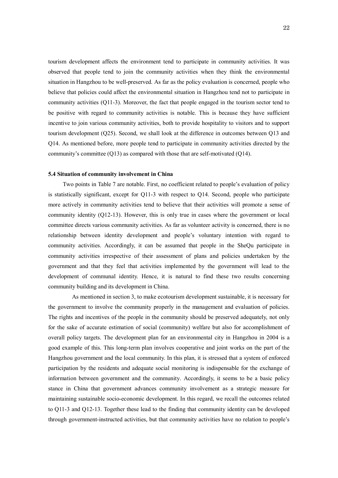tourism development affects the environment tend to participate in community activities. It was observed that people tend to join the community activities when they think the environmental situation in Hangzhou to be well-preserved. As far as the policy evaluation is concerned, people who believe that policies could affect the environmental situation in Hangzhou tend not to participate in community activities (Q11-3). Moreover, the fact that people engaged in the tourism sector tend to be positive with regard to community activities is notable. This is because they have sufficient incentive to join various community activities, both to provide hospitality to visitors and to support tourism development (Q25). Second, we shall look at the difference in outcomes between Q13 and Q14. As mentioned before, more people tend to participate in community activities directed by the community's committee (Q13) as compared with those that are self-motivated (Q14).

#### **5.4 Situation of community involvement in China**

Two points in Table 7 are notable. First, no coefficient related to people's evaluation of policy is statistically significant, except for Q11-3 with respect to Q14. Second, people who participate more actively in community activities tend to believe that their activities will promote a sense of community identity (Q12-13). However, this is only true in cases where the government or local committee directs various community activities. As far as volunteer activity is concerned, there is no relationship between identity development and people's voluntary intention with regard to community activities. Accordingly, it can be assumed that people in the SheQu participate in community activities irrespective of their assessment of plans and policies undertaken by the government and that they feel that activities implemented by the government will lead to the development of communal identity. Hence, it is natural to find these two results concerning community building and its development in China.

 As mentioned in section 3, to make ecotourism development sustainable, it is necessary for the government to involve the community properly in the management and evaluation of policies. The rights and incentives of the people in the community should be preserved adequately, not only for the sake of accurate estimation of social (community) welfare but also for accomplishment of overall policy targets. The development plan for an environmental city in Hangzhou in 2004 is a good example of this. This long-term plan involves cooperative and joint works on the part of the Hangzhou government and the local community. In this plan, it is stressed that a system of enforced participation by the residents and adequate social monitoring is indispensable for the exchange of information between government and the community. Accordingly, it seems to be a basic policy stance in China that government advances community involvement as a strategic measure for maintaining sustainable socio-economic development. In this regard, we recall the outcomes related to Q11-3 and Q12-13. Together these lead to the finding that community identity can be developed through government-instructed activities, but that community activities have no relation to people's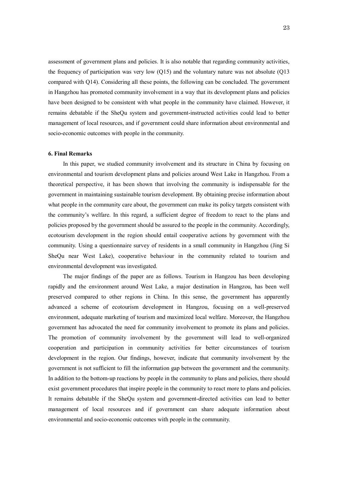assessment of government plans and policies. It is also notable that regarding community activities, the frequency of participation was very low (Q15) and the voluntary nature was not absolute (Q13 compared with Q14). Considering all these points, the following can be concluded. The government in Hangzhou has promoted community involvement in a way that its development plans and policies have been designed to be consistent with what people in the community have claimed. However, it remains debatable if the SheQu system and government-instructed activities could lead to better management of local resources, and if government could share information about environmental and socio-economic outcomes with people in the community.

#### **6. Final Remarks**

In this paper, we studied community involvement and its structure in China by focusing on environmental and tourism development plans and policies around West Lake in Hangzhou. From a theoretical perspective, it has been shown that involving the community is indispensable for the government in maintaining sustainable tourism development. By obtaining precise information about what people in the community care about, the government can make its policy targets consistent with the community's welfare. In this regard, a sufficient degree of freedom to react to the plans and policies proposed by the government should be assured to the people in the community. Accordingly, ecotourism development in the region should entail cooperative actions by government with the community. Using a questionnaire survey of residents in a small community in Hangzhou (Jing Si SheQu near West Lake), cooperative behaviour in the community related to tourism and environmental development was investigated.

The major findings of the paper are as follows. Tourism in Hangzou has been developing rapidly and the environment around West Lake, a major destination in Hangzou, has been well preserved compared to other regions in China. In this sense, the government has apparently advanced a scheme of ecotourism development in Hangzou, focusing on a well-preserved environment, adequate marketing of tourism and maximized local welfare. Moreover, the Hangzhou government has advocated the need for community involvement to promote its plans and policies. The promotion of community involvement by the government will lead to well-organized cooperation and participation in community activities for better circumstances of tourism development in the region. Our findings, however, indicate that community involvement by the government is not sufficient to fill the information gap between the government and the community. In addition to the bottom-up reactions by people in the community to plans and policies, there should exist government procedures that inspire people in the community to react more to plans and policies. It remains debatable if the SheQu system and government-directed activities can lead to better management of local resources and if government can share adequate information about environmental and socio-economic outcomes with people in the community.